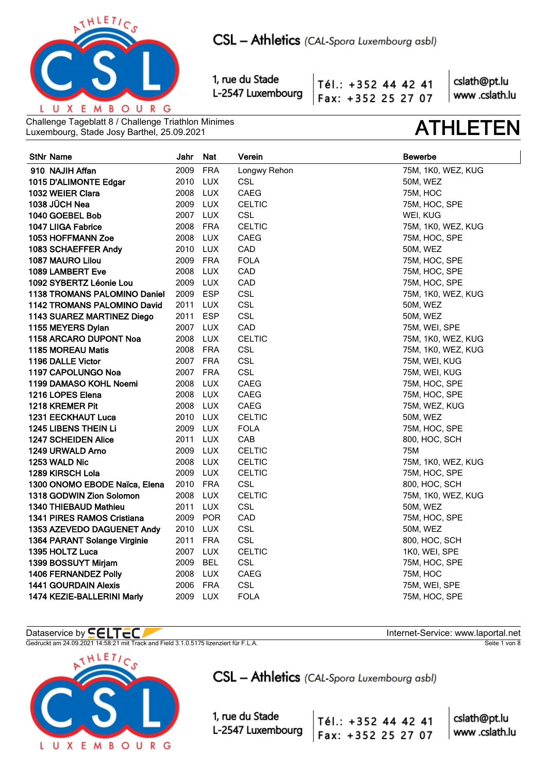

Tél.: +352 44 42 41 Fax: +352 25 27 07

cslath@pt.lu www.cslath.lu

Challenge Tageblatt 8 / Challenge Triathlon Minimes Luxembourg, Stade Josy Barthel, 25.09.2021 **ATHLETEN**

| <b>StNr Name</b>                    | Jahr     | Nat        | Verein        | <b>Bewerbe</b>     |
|-------------------------------------|----------|------------|---------------|--------------------|
| 910 NAJIH Affan                     | 2009     | <b>FRA</b> | Longwy Rehon  | 75M, 1K0, WEZ, KUG |
| 1015 D'ALIMONTE Edgar               | 2010 LUX |            | <b>CSL</b>    | 50M, WEZ           |
| 1032 WEIER Clara                    | 2008 LUX |            | CAEG          | <b>75M, HOC</b>    |
| 1038 JÜCH Nea                       | 2009 LUX |            | <b>CELTIC</b> | 75M, HOC, SPE      |
| 1040 GOEBEL Bob                     | 2007 LUX |            | CSL           | WEI, KUG           |
| 1047 LIIGA Fabrice                  | 2008 FRA |            | <b>CELTIC</b> | 75M, 1K0, WEZ, KUG |
| <b>1053 HOFFMANN Zoe</b>            | 2008 LUX |            | <b>CAEG</b>   | 75M, HOC, SPE      |
| 1083 SCHAEFFER Andy                 | 2010 LUX |            | CAD           | 50M, WEZ           |
| 1087 MAURO Lilou                    | 2009 FRA |            | <b>FOLA</b>   | 75M, HOC, SPE      |
| 1089 LAMBERT Eve                    | 2008 LUX |            | CAD           | 75M, HOC, SPE      |
| 1092 SYBERTZ Léonie Lou             | 2009 LUX |            | CAD           | 75M, HOC, SPE      |
| <b>1138 TROMANS PALOMINO Daniel</b> | 2009     | ESP        | <b>CSL</b>    | 75M, 1K0, WEZ, KUG |
| 1142 TROMANS PALOMINO David         | 2011 LUX |            | <b>CSL</b>    | 50M, WEZ           |
| 1143 SUAREZ MARTINEZ Diego          | 2011 ESP |            | CSL           | 50M, WEZ           |
| 1155 MEYERS Dylan                   | 2007 LUX |            | CAD           | 75M, WEI, SPE      |
| 1158 ARCARO DUPONT Noa              | 2008 LUX |            | <b>CELTIC</b> | 75M, 1K0, WEZ, KUG |
| 1185 MOREAU Matis                   | 2008 FRA |            | <b>CSL</b>    | 75M, 1K0, WEZ, KUG |
| 1196 DALLE Victor                   | 2007 FRA |            | <b>CSL</b>    | 75M, WEI, KUG      |
| 1197 CAPOLUNGO Noa                  | 2007 FRA |            | <b>CSL</b>    | 75M, WEI, KUG      |
| 1199 DAMASO KOHL Noemi              | 2008 LUX |            | <b>CAEG</b>   | 75M, HOC, SPE      |
| 1216 LOPES Elena                    | 2008 LUX |            | CAEG          | 75M, HOC, SPE      |
| 1218 KREMER Pit                     | 2008 LUX |            | CAEG          | 75M, WEZ, KUG      |
| <b>1231 EECKHAUT Luca</b>           | 2010 LUX |            | <b>CELTIC</b> | 50M, WEZ           |
| 1245 LIBENS THEIN Li                | 2009 LUX |            | <b>FOLA</b>   | 75M, HOC, SPE      |
| 1247 SCHEIDEN Alice                 | 2011     | LUX        | CAB           | 800, HOC, SCH      |
| 1249 URWALD Arno                    | 2009 LUX |            | <b>CELTIC</b> | 75M                |
| 1253 WALD Nic                       | 2008 LUX |            | <b>CELTIC</b> | 75M, 1K0, WEZ, KUG |
| 1289 KIRSCH Lola                    | 2009 LUX |            | <b>CELTIC</b> | 75M, HOC, SPE      |
| 1300 ONOMO EBODE Naïca, Elena       | 2010 FRA |            | <b>CSL</b>    | 800, HOC, SCH      |
| 1318 GODWIN Zion Solomon            | 2008 LUX |            | <b>CELTIC</b> | 75M, 1K0, WEZ, KUG |
| <b>1340 THIEBAUD Mathieu</b>        | 2011 LUX |            | <b>CSL</b>    | 50M, WEZ           |
| 1341 PIRES RAMOS Cristiana          | 2009 POR |            | CAD           | 75M, HOC, SPE      |
| 1353 AZEVEDO DAGUENET Andy          | 2010 LUX |            | CSL           | 50M, WEZ           |
| 1364 PARANT Solange Virginie        | 2011 FRA |            | CSL           | 800, HOC, SCH      |
| 1395 HOLTZ Luca                     | 2007 LUX |            | <b>CELTIC</b> | 1K0, WEI, SPE      |
| 1399 BOSSUYT Mirjam                 | 2009     | <b>BEL</b> | <b>CSL</b>    | 75M, HOC, SPE      |
| 1406 FERNANDEZ Polly                | 2008 LUX |            | CAEG          | <b>75M, HOC</b>    |
| <b>1441 GOURDAIN Alexis</b>         | 2006 FRA |            | <b>CSL</b>    | 75M, WEI, SPE      |
| 1474 KEZIE-BALLERINI Marly          | 2009 LUX |            | <b>FOLA</b>   | 75M, HOC, SPE      |

## Dataservice by  $\blacksquare\blacksquare\blacksquare\blacksquare\blacksquare\blacksquare$

Gedruckt am 24.09.2021 14:58:21 mit Track and Field 3.1.0.5175 lizenziert für F.L.A. Seite 1 von 8 Seite 1 von 8



CSL - Athletics (CAL-Spora Luxembourg asbl)

Tél.: +352 44 42 41

Fax: +352 25 27 07

1, rue du Stade L-2547 Luxembourg

cslath@pt.lu www.cslath.lu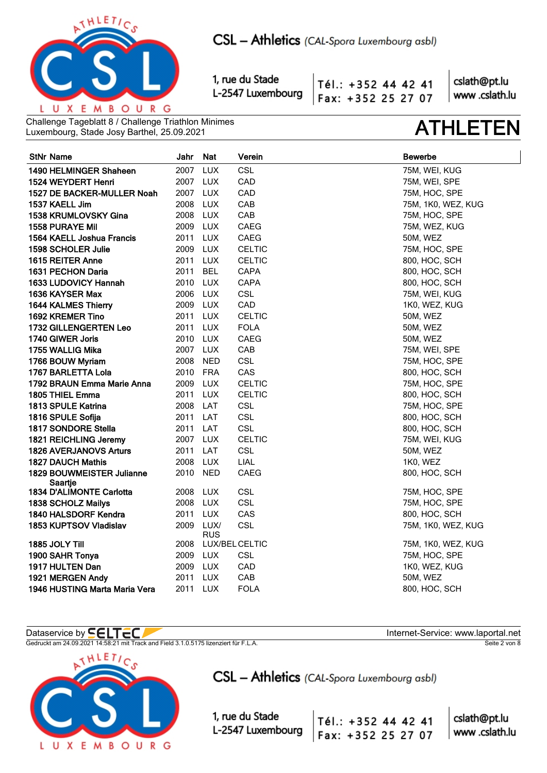

Tél.: +352 44 42 41 Fax: +352 25 27 07

cslath@pt.lu www.cslath.lu

Challenge Tageblatt 8 / Challenge Triathlon Minimes Luxembourg, Stade Josy Barthel, 25.09.2021 **ATHLETEN**

| <b>StNr Name</b>                            | Jahr     | <b>Nat</b>     | Verein        | <b>Bewerbe</b>     |
|---------------------------------------------|----------|----------------|---------------|--------------------|
| 1490 HELMINGER Shaheen                      | 2007     | <b>LUX</b>     | <b>CSL</b>    | 75M, WEI, KUG      |
| 1524 WEYDERT Henri                          | 2007 LUX |                | CAD           | 75M, WEI, SPE      |
| 1527 DE BACKER-MULLER Noah                  | 2007 LUX |                | CAD           | 75M, HOC, SPE      |
| 1537 KAELL Jim                              | 2008     | LUX            | CAB           | 75M, 1K0, WEZ, KUG |
| 1538 KRUMLOVSKY Gina                        | 2008 LUX |                | CAB           | 75M, HOC, SPE      |
| <b>1558 PURAYE Mil</b>                      | 2009     | <b>LUX</b>     | <b>CAEG</b>   | 75M, WEZ, KUG      |
| 1564 KAELL Joshua Francis                   | 2011     | <b>LUX</b>     | CAEG          | 50M, WEZ           |
| 1598 SCHOLER Julie                          | 2009     | <b>LUX</b>     | <b>CELTIC</b> | 75M, HOC, SPE      |
| 1615 REITER Anne                            | 2011     | <b>LUX</b>     | <b>CELTIC</b> | 800, HOC, SCH      |
| 1631 PECHON Daria                           | 2011     | <b>BEL</b>     | <b>CAPA</b>   | 800, HOC, SCH      |
| 1633 LUDOVICY Hannah                        | 2010     | <b>LUX</b>     | CAPA          | 800, HOC, SCH      |
| 1636 KAYSER Max                             | 2006 LUX |                | CSL           | 75M, WEI, KUG      |
| 1644 KALMES Thierry                         | 2009 LUX |                | CAD           | 1K0, WEZ, KUG      |
| 1692 KREMER Tino                            | 2011     | <b>LUX</b>     | <b>CELTIC</b> | 50M, WEZ           |
| 1732 GILLENGERTEN Leo                       | 2011     | <b>LUX</b>     | <b>FOLA</b>   | 50M, WEZ           |
| 1740 GIWER Joris                            | 2010     | <b>LUX</b>     | <b>CAEG</b>   | 50M, WEZ           |
| 1755 WALLIG Mika                            | 2007 LUX |                | CAB           | 75M, WEI, SPE      |
| 1766 BOUW Myriam                            | 2008     | <b>NED</b>     | CSL           | 75M, HOC, SPE      |
| 1767 BARLETTA Lola                          | 2010     | <b>FRA</b>     | CAS           | 800, HOC, SCH      |
| 1792 BRAUN Emma Marie Anna                  | 2009     | <b>LUX</b>     | <b>CELTIC</b> | 75M, HOC, SPE      |
| 1805 THIEL Emma                             | 2011 LUX |                | <b>CELTIC</b> | 800, HOC, SCH      |
| <b>1813 SPULE Katrina</b>                   | 2008     | LAT            | <b>CSL</b>    | 75M, HOC, SPE      |
| 1816 SPULE Sofija                           | 2011     | LAT            | <b>CSL</b>    | 800, HOC, SCH      |
| <b>1817 SONDORE Stella</b>                  | 2011     | LAT            | CSL           | 800, HOC, SCH      |
| 1821 REICHLING Jeremy                       | 2007     | <b>LUX</b>     | <b>CELTIC</b> | 75M, WEI, KUG      |
| <b>1826 AVERJANOVS Arturs</b>               | 2011     | LAT            | <b>CSL</b>    | 50M, WEZ           |
| <b>1827 DAUCH Mathis</b>                    | 2008     | <b>LUX</b>     | <b>LIAL</b>   | 1K0, WEZ           |
| <b>1829 BOUWMEISTER Julianne</b><br>Saartie | 2010     | <b>NED</b>     | CAEG          | 800, HOC, SCH      |
| 1834 D'ALIMONTE Carlotta                    | 2008     | LUX            | <b>CSL</b>    | 75M, HOC, SPE      |
| 1838 SCHOLZ Mailys                          | 2008 LUX |                | CSL           | 75M, HOC, SPE      |
| 1840 HALSDORF Kendra                        | 2011 LUX |                | CAS           | 800, HOC, SCH      |
| 1853 KUPTSOV Vladislav                      | 2009     | LUX/           | CSL           | 75M, 1K0, WEZ, KUG |
|                                             |          | <b>RUS</b>     |               |                    |
| 1885 JOLY Till                              | 2008     | LUX/BEL CELTIC |               | 75M, 1K0, WEZ, KUG |
| 1900 SAHR Tonya                             | 2009 LUX |                | <b>CSL</b>    | 75M, HOC, SPE      |
| 1917 HULTEN Dan                             | 2009     | LUX            | CAD           | 1K0, WEZ, KUG      |
| 1921 MERGEN Andy                            | 2011     | <b>LUX</b>     | CAB           | 50M, WEZ           |
| 1946 HUSTING Marta Maria Vera               | 2011 LUX |                | <b>FOLA</b>   | 800, HOC, SCH      |

Gedruckt am 24.09.2021 14:58:21 mit Track and Field 3.1.0.5175 lizenziert für F.L.A. Seite 2 von 8 Seite 2 von 8



CSL - Athletics (CAL-Spora Luxembourg asbl)

1, rue du Stade L-2547 Luxembourg

Dataservice by  $\blacksquare\blacksquare\blacksquare\blacksquare\blacksquare\blacksquare$ 

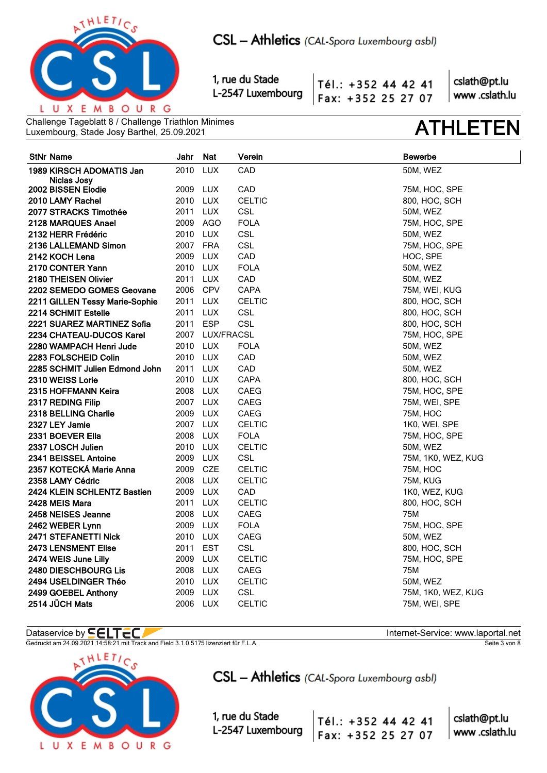

Tél.: +352 44 42 41 Fax: +352 25 27 07

cslath@pt.lu www.cslath.lu

Challenge Tageblatt 8 / Challenge Triathlon Minimes Luxembourg, Stade Josy Barthel, 25.09.2021 **ATHLETEN**

| <b>StNr Name</b>                                    | Jahr                 | <b>Nat</b>      | Verein                   | <b>Bewerbe</b>       |
|-----------------------------------------------------|----------------------|-----------------|--------------------------|----------------------|
| 1989 KIRSCH ADOMATIS Jan                            | 2010                 | <b>LUX</b>      | CAD                      | 50M, WEZ             |
| Niclas Josy                                         |                      |                 |                          |                      |
| 2002 BISSEN Elodie                                  | 2009                 | <b>LUX</b>      | CAD                      | 75M, HOC, SPE        |
| 2010 LAMY Rachel                                    |                      | 2010 LUX        | <b>CELTIC</b>            | 800, HOC, SCH        |
| 2077 STRACKS Timothée                               | 2011                 | LUX             | <b>CSL</b>               | 50M, WEZ             |
| 2128 MARQUES Anael                                  |                      | 2009 AGO        | <b>FOLA</b><br>CSL       | 75M, HOC, SPE        |
| 2132 HERR Frédéric                                  | 2010 LUX             |                 |                          | 50M, WEZ             |
| 2136 LALLEMAND Simon                                | 2007 FRA<br>2009     |                 | <b>CSL</b><br>CAD        | 75M, HOC, SPE        |
| 2142 KOCH Lena                                      |                      | <b>LUX</b>      |                          | HOC, SPE             |
| 2170 CONTER Yann                                    | 2010 LUX             |                 | <b>FOLA</b>              | 50M, WEZ             |
| 2180 THEISEN Olivier                                | 2011 LUX<br>2006 CPV |                 | CAD<br><b>CAPA</b>       | 50M, WEZ             |
| 2202 SEMEDO GOMES Geovane                           |                      |                 |                          | 75M, WEI, KUG        |
| 2211 GILLEN Tessy Marie-Sophie                      | 2011 LUX             | <b>LUX</b>      | <b>CELTIC</b>            | 800, HOC, SCH        |
| 2214 SCHMIT Estelle                                 | 2011<br>2011 ESP     |                 | <b>CSL</b><br><b>CSL</b> | 800, HOC, SCH        |
| 2221 SUAREZ MARTINEZ Sofia                          |                      | 2007 LUX/FRACSL |                          | 800, HOC, SCH        |
| 2234 CHATEAU-DUCOS Karel<br>2280 WAMPACH Henri Jude |                      | 2010 LUX        | <b>FOLA</b>              | 75M, HOC, SPE        |
| 2283 FOLSCHEID Colin                                | 2010 LUX             |                 | CAD                      | 50M, WEZ             |
| 2285 SCHMIT Julien Edmond John                      | 2011 LUX             |                 | CAD                      | 50M, WEZ<br>50M, WEZ |
| 2310 WEISS Lorie                                    | 2010 LUX             |                 | CAPA                     | 800, HOC, SCH        |
| 2315 HOFFMANN Keira                                 |                      | 2008 LUX        | CAEG                     | 75M, HOC, SPE        |
| 2317 REDING Filip                                   | 2007 LUX             |                 | CAEG                     | 75M, WEI, SPE        |
| 2318 BELLING Charlie                                | 2009 LUX             |                 | CAEG                     | <b>75M, HOC</b>      |
| 2327 LEY Jamie                                      | 2007 LUX             |                 | <b>CELTIC</b>            | 1K0, WEI, SPE        |
| 2331 BOEVER Ella                                    | 2008 LUX             |                 | <b>FOLA</b>              | 75M, HOC, SPE        |
| 2337 LOSCH Julien                                   | 2010 LUX             |                 | <b>CELTIC</b>            | 50M, WEZ             |
| 2341 BEISSEL Antoine                                | 2009 LUX             |                 | <b>CSL</b>               | 75M, 1K0, WEZ, KUG   |
| 2357 KOTECKÁ Marie Anna                             | 2009 CZE             |                 | <b>CELTIC</b>            | 75M, HOC             |
| 2358 LAMY Cédric                                    | 2008 LUX             |                 | <b>CELTIC</b>            | 75M, KUG             |
| 2424 KLEIN SCHLENTZ Bastien                         | 2009 LUX             |                 | CAD                      | 1K0, WEZ, KUG        |
| 2428 MEIS Mara                                      | 2011                 | LUX.            | <b>CELTIC</b>            | 800, HOC, SCH        |
| 2458 NEISES Jeanne                                  | 2008                 | <b>LUX</b>      | <b>CAEG</b>              | 75M                  |
| 2462 WEBER Lynn                                     |                      | 2009 LUX        | <b>FOLA</b>              | 75M, HOC, SPE        |
| 2471 STEFANETTI Nick                                | 2010 LUX             |                 | CAEG                     | 50M, WEZ             |
| <b>2473 LENSMENT Elise</b>                          | 2011                 | EST             | <b>CSL</b>               | 800, HOC, SCH        |
| 2474 WEIS June Lilly                                | 2009 LUX             |                 | <b>CELTIC</b>            | 75M, HOC, SPE        |
| <b>2480 DIESCHBOURG Lis</b>                         | 2008 LUX             |                 | CAEG                     | 75M                  |
| 2494 USELDINGER Théo                                | 2010 LUX             |                 | <b>CELTIC</b>            | 50M, WEZ             |
| 2499 GOEBEL Anthony                                 | 2009                 | <b>LUX</b>      | <b>CSL</b>               | 75M, 1K0, WEZ, KUG   |
| 2514 JÜCH Mats                                      | 2006                 | LUX             | <b>CELTIC</b>            | 75M, WEI, SPE        |

Gedruckt am 24.09.2021 14:58:21 mit Track and Field 3.1.0.5175 lizenziert für F.L.A. Seite 3 von 8 Seite 3 von 8



# CSL - Athletics (CAL-Spora Luxembourg asbl)

Tél.: +352 44 42 41

Fax: +352 25 27 07

1, rue du Stade L-2547 Luxembourg

Dataservice by  $\blacksquare\blacksquare\blacksquare\blacksquare\blacksquare\blacksquare$ 

cslath@pt.lu

www.cslath.lu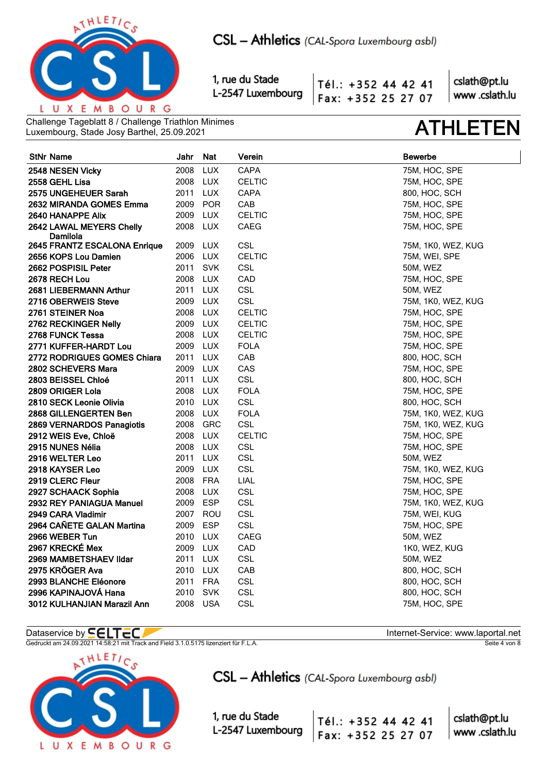

Tél.: +352 44 42 41 Fax: +352 25 27 07

cslath@pt.lu www.cslath.lu

Challenge Tageblatt 8 / Challenge Triathlon Minimes Luxembourg, Stade Josy Barthel, 25.09.2021 **ATHLETEN**

| <b>StNr Name</b>                              | Jahr         | Nat        | Verein            | <b>Bewerbe</b>                 |
|-----------------------------------------------|--------------|------------|-------------------|--------------------------------|
| 2548 NESEN Vicky                              | 2008         | <b>LUX</b> | CAPA              | 75M, HOC, SPE                  |
| 2558 GEHL Lisa                                | 2008 LUX     |            | <b>CELTIC</b>     | 75M, HOC, SPE                  |
| 2575 UNGEHEUER Sarah                          | 2011         | LUX        | <b>CAPA</b>       | 800, HOC, SCH                  |
| 2632 MIRANDA GOMES Emma                       | 2009         | <b>POR</b> | CAB               | 75M, HOC, SPE                  |
| 2640 HANAPPE Alix                             | 2009         | LUX        | <b>CELTIC</b>     | 75M, HOC, SPE                  |
| 2642 LAWAL MEYERS Chelly                      | 2008         | LUX        | CAEG              | 75M, HOC, SPE                  |
| Damilola                                      |              |            |                   |                                |
| 2645 FRANTZ ESCALONA Enrique                  | 2009         | <b>LUX</b> | <b>CSL</b>        | 75M, 1K0, WEZ, KUG             |
| 2656 KOPS Lou Damien                          | 2006         | LUX        | <b>CELTIC</b>     | 75M, WEI, SPE                  |
| 2662 POSPISIL Peter                           | 2011 SVK     |            | <b>CSL</b>        | 50M, WEZ                       |
| 2678 RECH Lou                                 | 2008<br>2011 | <b>LUX</b> | CAD<br><b>CSL</b> | 75M, HOC, SPE                  |
| 2681 LIEBERMANN Arthur<br>2716 OBERWEIS Steve | 2009 LUX     | LUX        | CSL               | 50M, WEZ                       |
| 2761 STEINER Noa                              | 2008         | LUX        | <b>CELTIC</b>     | 75M, 1K0, WEZ, KUG             |
| 2762 RECKINGER Nelly                          | 2009 LUX     |            | <b>CELTIC</b>     | 75M, HOC, SPE<br>75M, HOC, SPE |
| 2768 FUNCK Tessa                              | 2008 LUX     |            | <b>CELTIC</b>     | 75M, HOC, SPE                  |
| 2771 KUFFER-HARDT Lou                         | 2009 LUX     |            | <b>FOLA</b>       | 75M, HOC, SPE                  |
| <b>2772 RODRIGUES GOMES Chiara</b>            | 2011 LUX     |            | CAB               | 800, HOC, SCH                  |
| 2802 SCHEVERS Mara                            | 2009         | <b>LUX</b> | CAS               | 75M, HOC, SPE                  |
| 2803 BEISSEL Chloé                            | 2011 LUX     |            | CSL               | 800, HOC, SCH                  |
| 2809 ORIGER Lola                              | 2008 LUX     |            | <b>FOLA</b>       | 75M, HOC, SPE                  |
| 2810 SECK Leonie Olivia                       | 2010 LUX     |            | CSL               | 800, HOC, SCH                  |
| 2868 GILLENGERTEN Ben                         | 2008 LUX     |            | <b>FOLA</b>       | 75M, 1K0, WEZ, KUG             |
| 2869 VERNARDOS Panagiotis                     | 2008 GRC     |            | CSL               | 75M, 1K0, WEZ, KUG             |
| 2912 WEIS Eve, Chloë                          | 2008 LUX     |            | <b>CELTIC</b>     | 75M, HOC, SPE                  |
| 2915 NUNES Nélia                              | 2008         | LUX        | <b>CSL</b>        | 75M, HOC, SPE                  |
| 2916 WELTER Leo                               | 2011         | LUX        | <b>CSL</b>        | 50M, WEZ                       |
| 2918 KAYSER Leo                               | 2009         | LUX        | <b>CSL</b>        | 75M, 1K0, WEZ, KUG             |
| 2919 CLERC Fleur                              | 2008 FRA     |            | LIAL              | 75M, HOC, SPE                  |
| 2927 SCHAACK Sophia                           | 2008         | LUX        | CSL               | 75M, HOC, SPE                  |
| 2932 REY PANIAGUA Manuel                      | 2009         | <b>ESP</b> | <b>CSL</b>        | 75M, 1K0, WEZ, KUG             |
| 2949 CARA Vladimir                            | 2007 ROU     |            | <b>CSL</b>        | 75M, WEI, KUG                  |
| 2964 CAÑETE GALAN Martina                     | 2009         | <b>ESP</b> | CSL               | 75M, HOC, SPE                  |
| 2966 WEBER Tun                                | 2010 LUX     |            | CAEG              | 50M, WEZ                       |
| 2967 KRECKÉ Mex                               | 2009         | <b>LUX</b> | CAD               | 1K0, WEZ, KUG                  |
| 2969 MAMBETSHAEV Ildar                        | 2011 LUX     |            | <b>CSL</b>        | 50M, WEZ                       |
| 2975 KRÖGER Ava                               | 2010 LUX     |            | CAB               | 800, HOC, SCH                  |
| 2993 BLANCHE Eléonore                         | 2011         | FRA        | <b>CSL</b>        | 800, HOC, SCH                  |
| 2996 KAPINAJOVÁ Hana                          | 2010         | SVK        | <b>CSL</b>        | 800, HOC, SCH                  |
| 3012 KULHANJIAN Marazil Ann                   | 2008         | <b>USA</b> | CSL               | 75M, HOC, SPE                  |

Gedruckt am 24.09.2021 14:58:21 mit Track and Field 3.1.0.5175 lizenziert für F.L.A. Seite 4 von 8 Seite 4 von 8



CSL - Athletics (CAL-Spora Luxembourg asbl)

1, rue du Stade L-2547 Luxembourg

Dataservice by  $\blacksquare\blacksquare\blacksquare\blacksquare\blacksquare\blacksquare$ 

cslath@pt.lu Tél.: +352 44 42 41 www.cslath.lu Fax: +352 25 27 07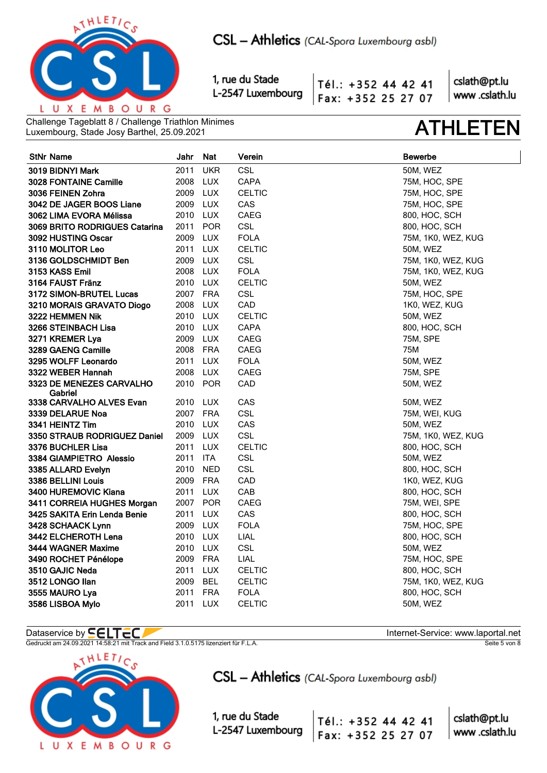

Tél.: +352 44 42 41 Fax: +352 25 27 07

cslath@pt.lu www.cslath.lu

Challenge Tageblatt 8 / Challenge Triathlon Minimes Luxembourg, Stade Josy Barthel, 25.09.2021 **ATHLETEN**

| <b>StNr Name</b>                    | Jahr     | <b>Nat</b> | Verein        | <b>Bewerbe</b>     |
|-------------------------------------|----------|------------|---------------|--------------------|
| 3019 BIDNYI Mark                    | 2011     | <b>UKR</b> | CSL           | 50M, WEZ           |
| <b>3028 FONTAINE Camille</b>        | 2008     | LUX        | CAPA          | 75M, HOC, SPE      |
| 3036 FEINEN Zohra                   | 2009 LUX |            | <b>CELTIC</b> | 75M, HOC, SPE      |
| 3042 DE JAGER BOOS Liane            | 2009 LUX |            | CAS           | 75M, HOC, SPE      |
| 3062 LIMA EVORA Mélissa             | 2010 LUX |            | <b>CAEG</b>   | 800, HOC, SCH      |
| 3069 BRITO RODRIGUES Catarina       | 2011     | <b>POR</b> | CSL           | 800, HOC, SCH      |
| 3092 HUSTING Oscar                  | 2009 LUX |            | <b>FOLA</b>   | 75M, 1K0, WEZ, KUG |
| 3110 MOLITOR Leo                    | 2011 LUX |            | <b>CELTIC</b> | 50M, WEZ           |
| 3136 GOLDSCHMIDT Ben                | 2009 LUX |            | <b>CSL</b>    | 75M, 1K0, WEZ, KUG |
| 3153 KASS Emil                      | 2008 LUX |            | <b>FOLA</b>   | 75M, 1K0, WEZ, KUG |
| 3164 FAUST Fränz                    | 2010 LUX |            | <b>CELTIC</b> | 50M, WEZ           |
| 3172 SIMON-BRUTEL Lucas             | 2007 FRA |            | CSL           | 75M, HOC, SPE      |
| 3210 MORAIS GRAVATO Diogo           | 2008 LUX |            | CAD           | 1K0, WEZ, KUG      |
| 3222 HEMMEN Nik                     | 2010 LUX |            | <b>CELTIC</b> | <b>50M, WEZ</b>    |
| 3266 STEINBACH Lisa                 | 2010 LUX |            | CAPA          | 800, HOC, SCH      |
| 3271 KREMER Lya                     | 2009 LUX |            | <b>CAEG</b>   | <b>75M, SPE</b>    |
| 3289 GAENG Camille                  | 2008 FRA |            | <b>CAEG</b>   | 75M                |
| 3295 WOLFF Leonardo                 | 2011 LUX |            | <b>FOLA</b>   | 50M, WEZ           |
| 3322 WEBER Hannah                   | 2008 LUX |            | <b>CAEG</b>   | 75M, SPE           |
| 3323 DE MENEZES CARVALHO<br>Gabriel | 2010     | POR        | CAD           | 50M, WEZ           |
| 3338 CARVALHO ALVES Evan            | 2010 LUX |            | CAS           | 50M, WEZ           |
| 3339 DELARUE Noa                    | 2007 FRA |            | CSL           | 75M, WEI, KUG      |
| 3341 HEINTZ Tim                     | 2010 LUX |            | CAS           | 50M, WEZ           |
| 3350 STRAUB RODRIGUEZ Daniel        | 2009 LUX |            | <b>CSL</b>    | 75M, 1K0, WEZ, KUG |
| 3376 BUCHLER Lisa                   | 2011 LUX |            | <b>CELTIC</b> | 800, HOC, SCH      |
| 3384 GIAMPIETRO Alessio             | 2011 ITA |            | <b>CSL</b>    | 50M, WEZ           |
| 3385 ALLARD Evelyn                  | 2010     | <b>NED</b> | <b>CSL</b>    | 800, HOC, SCH      |
| 3386 BELLINI Louis                  | 2009 FRA |            | CAD           | 1K0, WEZ, KUG      |
| 3400 HUREMOVIC Kiana                | 2011 LUX |            | CAB           | 800, HOC, SCH      |
| 3411 CORREIA HUGHES Morgan          | 2007 POR |            | CAEG          | 75M, WEI, SPE      |
| 3425 SAKITA Erin Lenda Benie        | 2011 LUX |            | CAS           | 800, HOC, SCH      |
| 3428 SCHAACK Lynn                   | 2009 LUX |            | <b>FOLA</b>   | 75M, HOC, SPE      |
| 3442 ELCHEROTH Lena                 | 2010 LUX |            | LIAL          | 800, HOC, SCH      |
| 3444 WAGNER Maxime                  | 2010 LUX |            | CSL           | <b>50M, WEZ</b>    |
| 3490 ROCHET Pénélope                | 2009 FRA |            | LIAL          | 75M, HOC, SPE      |
| 3510 GAJIC Neda                     | 2011     | <b>LUX</b> | <b>CELTIC</b> | 800, HOC, SCH      |
| 3512 LONGO Ilan                     | 2009     | <b>BEL</b> | <b>CELTIC</b> | 75M, 1K0, WEZ, KUG |
| 3555 MAURO Lya                      | 2011 FRA |            | <b>FOLA</b>   | 800, HOC, SCH      |
| 3586 LISBOA Mylo                    | 2011     | <b>LUX</b> | CELTIC        | 50M, WEZ           |

## Dataservice by  $\blacksquare\blacksquare\blacksquare\blacksquare\blacksquare\blacksquare$

Gedruckt am 24.09.2021 14:58:21 mit Track and Field 3.1.0.5175 lizenziert für F.L.A. Seite 5 von 8 Seite 5 von 8



CSL - Athletics (CAL-Spora Luxembourg asbl)

Tél.: +352 44 42 41

Fax: +352 25 27 07

1, rue du Stade L-2547 Luxembourg

cslath@pt.lu www.cslath.lu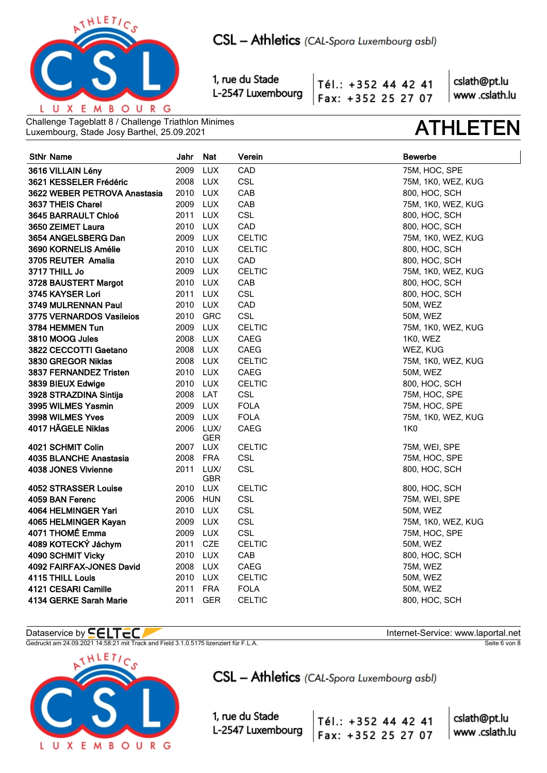

Tél.: +352 44 42 41 Fax: +352 25 27 07

cslath@pt.lu www.cslath.lu

Challenge Tageblatt 8 / Challenge Triathlon Minimes Luxembourg, Stade Josy Barthel, 25.09.2021 **ATHLETEN**

| <b>StNr Name</b>             | Jahr     | Nat                     | Verein        | <b>Bewerbe</b>     |
|------------------------------|----------|-------------------------|---------------|--------------------|
| 3616 VILLAIN Lény            | 2009     | <b>LUX</b>              | CAD           | 75M, HOC, SPE      |
| 3621 KESSELER Frédéric       | 2008 LUX |                         | <b>CSL</b>    | 75M, 1K0, WEZ, KUG |
| 3622 WEBER PETROVA Anastasia | 2010 LUX |                         | CAB           | 800, HOC, SCH      |
| 3637 THEIS Charel            | 2009 LUX |                         | CAB           | 75M, 1K0, WEZ, KUG |
| 3645 BARRAULT Chloé          | 2011 LUX |                         | <b>CSL</b>    | 800, HOC, SCH      |
| 3650 ZEIMET Laura            | 2010 LUX |                         | CAD           | 800, HOC, SCH      |
| 3654 ANGELSBERG Dan          | 2009 LUX |                         | <b>CELTIC</b> | 75M, 1K0, WEZ, KUG |
| 3690 KORNELIS Amélie         | 2010 LUX |                         | <b>CELTIC</b> | 800, HOC, SCH      |
| 3705 REUTER Amalia           | 2010 LUX |                         | CAD           | 800, HOC, SCH      |
| 3717 THILL Jo                | 2009 LUX |                         | <b>CELTIC</b> | 75M, 1K0, WEZ, KUG |
| 3728 BAUSTERT Margot         | 2010 LUX |                         | CAB           | 800, HOC, SCH      |
| 3745 KAYSER Lori             | 2011 LUX |                         | CSL           | 800, HOC, SCH      |
| 3749 MULRENNAN Paul          | 2010 LUX |                         | CAD           | 50M, WEZ           |
| 3775 VERNARDOS Vasileios     | 2010 GRC |                         | CSL           | 50M, WEZ           |
| 3784 HEMMEN Tun              | 2009 LUX |                         | <b>CELTIC</b> | 75M, 1K0, WEZ, KUG |
| 3810 MOOG Jules              | 2008 LUX |                         | CAEG          | 1K0, WEZ           |
| 3822 CECCOTTI Gaetano        | 2008 LUX |                         | CAEG          | WEZ, KUG           |
| 3830 GREGOR Niklas           | 2008 LUX |                         | <b>CELTIC</b> | 75M, 1K0, WEZ, KUG |
| 3837 FERNANDEZ Tristen       | 2010 LUX |                         | <b>CAEG</b>   | 50M, WEZ           |
| 3839 BIEUX Edwige            | 2010 LUX |                         | <b>CELTIC</b> | 800, HOC, SCH      |
| 3928 STRAZDINA Sintija       | 2008 LAT |                         | <b>CSL</b>    | 75M, HOC, SPE      |
| 3995 WILMES Yasmin           | 2009 LUX |                         | <b>FOLA</b>   | 75M, HOC, SPE      |
| 3998 WILMES Yves             | 2009 LUX |                         | <b>FOLA</b>   | 75M, 1K0, WEZ, KUG |
| 4017 HÄGELE Niklas           |          | 2006 LUX/<br><b>GER</b> | CAEG          | 1K0                |
| 4021 SCHMIT Colin            | 2007 LUX |                         | <b>CELTIC</b> | 75M, WEI, SPE      |
| 4035 BLANCHE Anastasia       | 2008 FRA |                         | <b>CSL</b>    | 75M, HOC, SPE      |
| 4038 JONES Vivienne          |          | 2011 LUX/<br><b>GBR</b> | <b>CSL</b>    | 800, HOC, SCH      |
| 4052 STRASSER Louise         | 2010 LUX |                         | <b>CELTIC</b> | 800, HOC, SCH      |
| 4059 BAN Ferenc              | 2006 HUN |                         | <b>CSL</b>    | 75M, WEI, SPE      |
| 4064 HELMINGER Yari          | 2010 LUX |                         | <b>CSL</b>    | 50M, WEZ           |
| 4065 HELMINGER Kayan         | 2009 LUX |                         | <b>CSL</b>    | 75M, 1K0, WEZ, KUG |
| 4071 THOMÉ Emma              | 2009 LUX |                         | CSL           | 75M, HOC, SPE      |
| 4089 KOTECKÝ Jáchym          | 2011 CZE |                         | <b>CELTIC</b> | <b>50M, WEZ</b>    |
| 4090 SCHMIT Vicky            | 2010 LUX |                         | CAB           | 800, HOC, SCH      |
| 4092 FAIRFAX-JONES David     | 2008 LUX |                         | CAEG          | 75M, WEZ           |
| 4115 THILL Louis             | 2010 LUX |                         | <b>CELTIC</b> | 50M, WEZ           |
| 4121 CESARI Camille          | 2011 FRA |                         | <b>FOLA</b>   | 50M, WEZ           |
| 4134 GERKE Sarah Marie       | 2011     | <b>GER</b>              | <b>CELTIC</b> | 800, HOC, SCH      |

Gedruckt am 24.09.2021 14:58:21 mit Track and Field 3.1.0.5175 lizenziert für F.L.A. Seite 6 von 8 Seite 6 von 8



CSL - Athletics (CAL-Spora Luxembourg asbl)

1, rue du Stade L-2547 Luxembourg

Dataservice by  $\blacksquare\blacksquare\blacksquare\blacksquare\blacksquare\blacksquare$ 

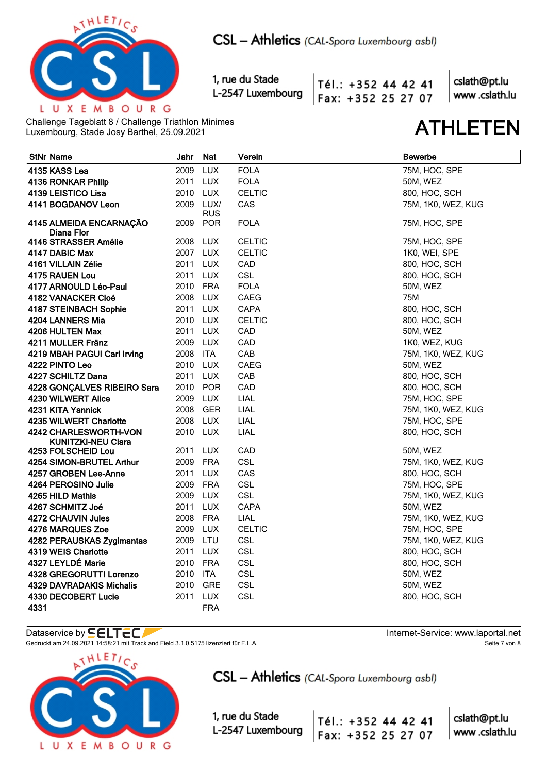

Tél.: +352 44 42 41 Fax: +352 25 27 07

cslath@pt.lu www.cslath.lu

Challenge Tageblatt 8 / Challenge Triathlon Minimes Luxembourg, Stade Josy Barthel, 25.09.2021 **ATHLETEN**

| <b>StNr Name</b>                            | Jahr     | <b>Nat</b>  | Verein        | <b>Bewerbe</b>     |
|---------------------------------------------|----------|-------------|---------------|--------------------|
| 4135 KASS Lea                               | 2009     | <b>LUX</b>  | <b>FOLA</b>   | 75M, HOC, SPE      |
| 4136 RONKAR Philip                          | 2011 LUX |             | <b>FOLA</b>   | 50M, WEZ           |
| 4139 LEISTICO Lisa                          | 2010     | <b>LUX</b>  | <b>CELTIC</b> | 800, HOC, SCH      |
| 4141 BOGDANOV Leon                          | 2009     | LUX/<br>RUS | CAS           | 75M, 1K0, WEZ, KUG |
| 4145 ALMEIDA ENCARNAÇÃO<br>Diana Flor       | 2009     | <b>POR</b>  | <b>FOLA</b>   | 75M, HOC, SPE      |
| 4146 STRASSER Amélie                        | 2008 LUX |             | <b>CELTIC</b> | 75M, HOC, SPE      |
| 4147 DABIC Max                              | 2007 LUX |             | <b>CELTIC</b> | 1K0, WEI, SPE      |
| 4161 VILLAIN Zélie                          | 2011     | LUX         | CAD           | 800, HOC, SCH      |
| 4175 RAUEN Lou                              | 2011     | <b>LUX</b>  | <b>CSL</b>    | 800, HOC, SCH      |
| 4177 ARNOULD Léo-Paul                       | 2010 FRA |             | <b>FOLA</b>   | 50M, WEZ           |
| 4182 VANACKER Cloé                          | 2008 LUX |             | CAEG          | 75M                |
| 4187 STEINBACH Sophie                       | 2011 LUX |             | <b>CAPA</b>   | 800, HOC, SCH      |
| 4204 LANNERS Mia                            | 2010     | <b>LUX</b>  | <b>CELTIC</b> | 800, HOC, SCH      |
| 4206 HULTEN Max                             | 2011     | <b>LUX</b>  | CAD           | 50M, WEZ           |
| 4211 MULLER Fränz                           | 2009     | <b>LUX</b>  | CAD           | 1K0, WEZ, KUG      |
| 4219 MBAH PAGUI Carl Irving                 | 2008     | ITA         | CAB           | 75M, 1K0, WEZ, KUG |
| 4222 PINTO Leo                              | 2010 LUX |             | CAEG          | 50M, WEZ           |
| 4227 SCHILTZ Dana                           | 2011     | <b>LUX</b>  | CAB           | 800, HOC, SCH      |
| 4228 GONÇALVES RIBEIRO Sara                 | 2010 POR |             | CAD           | 800, HOC, SCH      |
| 4230 WILWERT Alice                          | 2009 LUX |             | LIAL          | 75M, HOC, SPE      |
| 4231 KITA Yannick                           | 2008 GER |             | LIAL          | 75M, 1K0, WEZ, KUG |
| 4235 WILWERT Charlotte                      | 2008 LUX |             | LIAL          | 75M, HOC, SPE      |
| 4242 CHARLESWORTH-VON<br>KUNITZKI-NEU Clara | 2010 LUX |             | LIAL          | 800, HOC, SCH      |
| 4253 FOLSCHEID Lou                          | 2011     | <b>LUX</b>  | CAD           | 50M, WEZ           |
| 4254 SIMON-BRUTEL Arthur                    | 2009     | <b>FRA</b>  | <b>CSL</b>    | 75M, 1K0, WEZ, KUG |
| 4257 GROBEN Lee-Anne                        | 2011     | <b>LUX</b>  | CAS           | 800, HOC, SCH      |
| 4264 PEROSINO Julie                         | 2009 FRA |             | CSL           | 75M, HOC, SPE      |
| 4265 HILD Mathis                            | 2009     | LUX         | <b>CSL</b>    | 75M, 1K0, WEZ, KUG |
| 4267 SCHMITZ Joé                            | 2011     | <b>LUX</b>  | CAPA          | 50M, WEZ           |
| 4272 CHAUVIN Jules                          | 2008     | FRA         | LIAL          | 75M, 1K0, WEZ, KUG |
| 4276 MARQUES Zoe                            | 2009     | <b>LUX</b>  | <b>CELTIC</b> | 75M, HOC, SPE      |
| 4282 PERAUSKAS Zygimantas                   | 2009 LTU |             | <b>CSL</b>    | 75M, 1K0, WEZ, KUG |
| 4319 WEIS Charlotte                         | 2011     | <b>LUX</b>  | <b>CSL</b>    | 800, HOC, SCH      |
| 4327 LEYLDÉ Marie                           | 2010 FRA |             | CSL           | 800, HOC, SCH      |
| 4328 GREGORUTTI Lorenzo                     | 2010 ITA |             | <b>CSL</b>    | 50M, WEZ           |
| <b>4329 DAVRADAKIS Michalis</b>             | 2010     | <b>GRE</b>  | <b>CSL</b>    | <b>50M, WEZ</b>    |
| 4330 DECOBERT Lucie                         | 2011     | <b>LUX</b>  | <b>CSL</b>    | 800, HOC, SCH      |
| 4331                                        |          | <b>FRA</b>  |               |                    |

### Dataservice by  $\blacksquare\blacksquare\blacksquare\blacksquare\blacksquare\blacksquare$

Gedruckt am 24.09.2021 14:58:21 mit Track and Field 3.1.0.5175 lizenziert für F.L.A. Seite 7 von 8 Seite 7 von 8



CSL - Athletics (CAL-Spora Luxembourg asbl)

1, rue du Stade L-2547 Luxembourg

Tél.: +352 44 42 41

Fax: +352 25 27 07

| cslath@pt.lu   |
|----------------|
| www .cslath.lu |